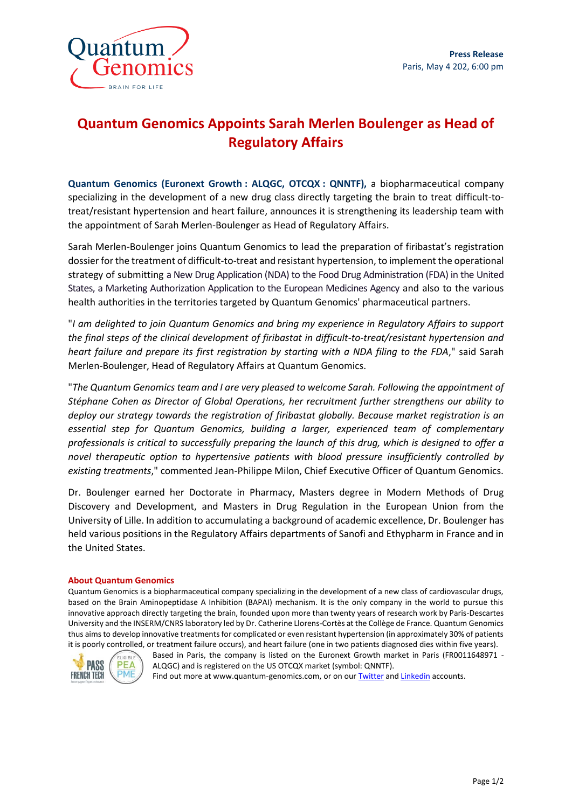

# **Quantum Genomics Appoints Sarah Merlen Boulenger as Head of Regulatory Affairs**

**Quantum Genomics (Euronext Growth : ALQGC, OTCQX : QNNTF),** a biopharmaceutical company specializing in the development of a new drug class directly targeting the brain to treat difficult-totreat/resistant hypertension and heart failure, announces it is strengthening its leadership team with the appointment of Sarah Merlen-Boulenger as Head of Regulatory Affairs.

Sarah Merlen-Boulenger joins Quantum Genomics to lead the preparation of firibastat's registration dossier for the treatment of difficult-to-treat and resistant hypertension, to implement the operational strategy of submitting a New Drug Application (NDA) to the Food Drug Administration (FDA) in the United States, a Marketing Authorization Application to the European Medicines Agency and also to the various health authorities in the territories targeted by Quantum Genomics' pharmaceutical partners.

"*I am delighted to join Quantum Genomics and bring my experience in Regulatory Affairs to support the final steps of the clinical development of firibastat in difficult-to-treat/resistant hypertension and heart failure and prepare its first registration by starting with a NDA filing to the FDA*," said Sarah Merlen-Boulenger, Head of Regulatory Affairs at Quantum Genomics.

"*The Quantum Genomics team and I are very pleased to welcome Sarah. Following the appointment of Stéphane Cohen as Director of Global Operations, her recruitment further strengthens our ability to deploy our strategy towards the registration of firibastat globally. Because market registration is an essential step for Quantum Genomics, building a larger, experienced team of complementary professionals is critical to successfully preparing the launch of this drug, which is designed to offer a novel therapeutic option to hypertensive patients with blood pressure insufficiently controlled by existing treatments*," commented Jean-Philippe Milon, Chief Executive Officer of Quantum Genomics.

Dr. Boulenger earned her Doctorate in Pharmacy, Masters degree in Modern Methods of Drug Discovery and Development, and Masters in Drug Regulation in the European Union from the University of Lille. In addition to accumulating a background of academic excellence, Dr. Boulenger has held various positions in the Regulatory Affairs departments of Sanofi and Ethypharm in France and in the United States.

#### **About Quantum Genomics**

Quantum Genomics is a biopharmaceutical company specializing in the development of a new class of cardiovascular drugs, based on the Brain Aminopeptidase A Inhibition (BAPAI) mechanism. It is the only company in the world to pursue this innovative approach directly targeting the brain, founded upon more than twenty years of research work by Paris-Descartes University and the INSERM/CNRS laboratory led by Dr. Catherine Llorens-Cortès at the Collège de France. Quantum Genomics thus aims to develop innovative treatments for complicated or even resistant hypertension (in approximately 30% of patients it is poorly controlled, or treatment failure occurs), and heart failure (one in two patients diagnosed dies within five years).



Based in Paris, the company is listed on the Euronext Growth market in Paris (FR0011648971 - ALQGC) and is registered on the US OTCQX market (symbol: QNNTF).

Find out more at www.quantum-genomics.com, or on our **Twitter** an[d Linkedin](https://www.linkedin.com/company/5186305/) accounts.